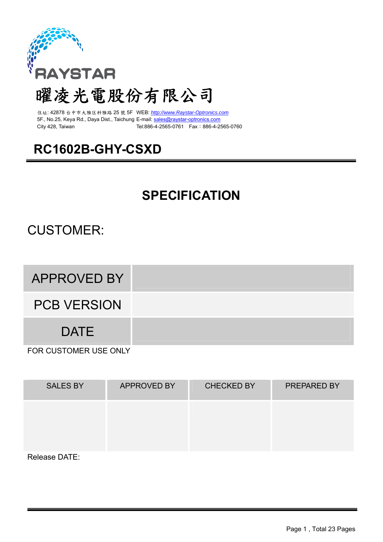

# 曜凌光電股份有限公司

住址: 42878 台中市大雅区科雅路 25 號 5F WEB: *http://www.Raystar-Optronics.com* 5F., No.25, Keya Rd., Daya Dist., Taichung E-mail: sales@raystar-optronics.com City 428, Taiwan Tel:886-4-2565-0761 Fax:886-4-2565-0760

# **RC1602B-GHY-CSXD**

# **SPECIFICATION**

## CUSTOMER:

APPROVED BY

PCB VERSION

DATE

FOR CUSTOMER USE ONLY

| <b>SALES BY</b> | <b>APPROVED BY</b> | <b>CHECKED BY</b> | PREPARED BY |
|-----------------|--------------------|-------------------|-------------|
|                 |                    |                   |             |
| Delesse DATE.   |                    |                   |             |

Release DATE: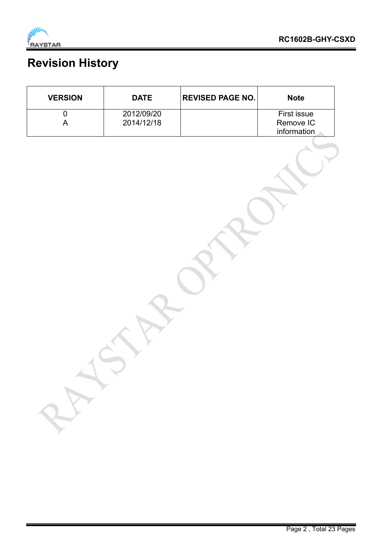

# **Revision History**

| <b>VERSION</b> | <b>DATE</b> | <b>REVISED PAGE NO.</b> | <b>Note</b>        |
|----------------|-------------|-------------------------|--------------------|
|                | 2012/09/20  |                         | <b>First issue</b> |
|                | 2014/12/18  |                         | Remove IC          |
|                |             |                         | information        |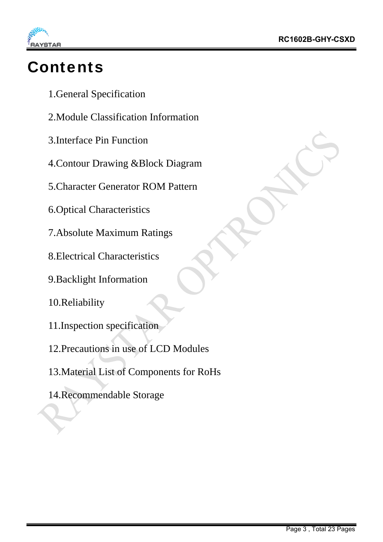

# **Contents**

- 1.General Specification
- 2.Module Classification Information
- 3.Interface Pin Function
- 4.Contour Drawing &Block Diagram
- 5.Character Generator ROM Pattern
- 6.Optical Characteristics
- 7.Absolute Maximum Ratings
- 8.Electrical Characteristics
- 9.Backlight Information
- 10.Reliability
- 11.Inspection specification
- 12.Precautions in use of LCD Modules
- 13.Material List of Components for RoHs
- 14.Recommendable Storage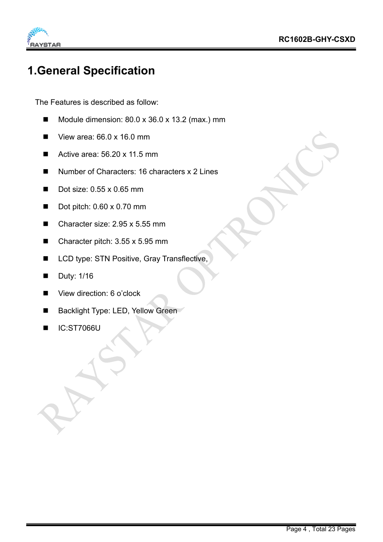

### **1.General Specification**

The Features is described as follow:

- Module dimension: 80.0 x 36.0 x 13.2 (max.) mm
- $\blacksquare$  View area: 66.0 x 16.0 mm
- Active area: 56.20 x 11.5 mm
- Number of Characters: 16 characters x 2 Lines
- Dot size: 0.55 x 0.65 mm
- Dot pitch:  $0.60 \times 0.70$  mm
- Character size: 2.95 x 5.55 mm
- Character pitch: 3.55 x 5.95 mm
- LCD type: STN Positive, Gray Transflective,
- Duty: 1/16
- View direction: 6 o'clock
- Backlight Type: LED, Yellow Green
- IC:ST7066U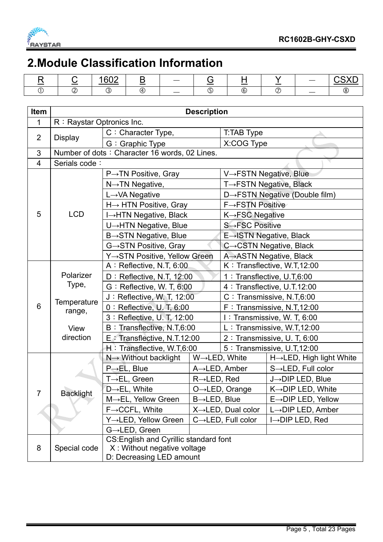

### **2.Module Classification Information**

|  | $\sim$<br>~∽ | --- | $\overline{\phantom{a}}$ | $\sim$ |    | ----- |
|--|--------------|-----|--------------------------|--------|----|-------|
|  |              | ٠Δ  | ___                      | (6)    | __ |       |

| Item           |                           |                                               | <b>Description</b>       |                                 |                                 |  |  |
|----------------|---------------------------|-----------------------------------------------|--------------------------|---------------------------------|---------------------------------|--|--|
| 1              | R: Raystar Optronics Inc. |                                               |                          |                                 |                                 |  |  |
|                |                           | C: Character Type,                            |                          | T:TAB Type                      |                                 |  |  |
| $\overline{2}$ | <b>Display</b>            | G: Graphic Type                               |                          | X:COG Type                      |                                 |  |  |
| 3              |                           | Number of dots: Character 16 words, 02 Lines. |                          |                                 |                                 |  |  |
| 4              | Serials code:             |                                               |                          |                                 |                                 |  |  |
|                |                           | $P\rightarrow TN$ Positive, Gray              |                          | V→FSTN Negative, Blue           |                                 |  |  |
|                |                           | $N \rightarrow TN$ Negative,                  |                          |                                 | T→FSTN Negative, Black          |  |  |
|                |                           | L→VA Negative                                 |                          |                                 | D→FSTN Negative (Double film)   |  |  |
|                |                           | H→ HTN Positive, Gray                         |                          | <b>F→FSTN Positive</b>          |                                 |  |  |
| 5              | <b>LCD</b>                | I→HTN Negative, Black                         |                          | K→FSC Negative                  |                                 |  |  |
|                |                           | U→HTN Negative, Blue                          |                          | S→FSC Positive                  |                                 |  |  |
|                |                           | B→STN Negative, Blue                          |                          |                                 | E→ISTN Negative, Black          |  |  |
|                |                           | G→STN Positive, Gray                          |                          |                                 | C→CSTN Negative, Black          |  |  |
|                |                           | Y→STN Positive, Yellow Green                  |                          |                                 | A→ASTN Negative, Black          |  |  |
|                |                           | A: Reflective, N.T, 6:00                      |                          |                                 | K: Transflective, W.T,12:00     |  |  |
|                | Polarizer                 | D: Reflective, N.T, 12:00                     |                          |                                 | 1 : Transflective, U.T,6:00     |  |  |
|                | Type,                     | G: Reflective, W. T, 6:00                     |                          |                                 | 4 : Transflective, U.T.12:00    |  |  |
|                | Temperature               | J: Reflective, W. T, 12:00                    |                          |                                 | C: Transmissive, N.T,6:00       |  |  |
| $6\phantom{1}$ | range,                    | $0:$ Reflective, U.T, 6:00                    |                          |                                 | F: Transmissive, N.T, 12:00     |  |  |
|                |                           | 3: Reflective, U. T, 12:00                    |                          |                                 | I: Transmissive, W. T, 6:00     |  |  |
|                | View                      | B: Transflective, N.T,6:00                    |                          |                                 | L: Transmissive, W.T,12:00      |  |  |
|                | direction                 | E : Transflective, N.T.12:00                  |                          |                                 | 2: Transmissive, U. T, 6:00     |  |  |
|                |                           | H: Transflective, W.T.6:00                    |                          |                                 | 5 : Transmissive, U.T.12:00     |  |  |
|                |                           | N→ Without backlight                          |                          | W→LED, White                    | H→LED, High light White         |  |  |
|                |                           | $P\rightarrow$ EL, Blue                       |                          | $A \rightarrow$ LED, Amber      | S→LED, Full color               |  |  |
|                |                           | T→EL, Green                                   | $R\rightarrow$ LED, Red  |                                 | J-DIP LED, Blue                 |  |  |
| 7              | <b>Backlight</b>          | D→EL, White                                   |                          | O→LED, Orange                   | K→DIP LED, White                |  |  |
|                |                           | M→EL, Yellow Green                            | $B\rightarrow$ LED, Blue |                                 | $E \rightarrow$ DIP LED, Yellow |  |  |
|                |                           | $F \rightarrow CCFL$ , White                  |                          | $X \rightarrow$ LED, Dual color | $L \rightarrow$ DIP LED, Amber  |  |  |
|                |                           | Y→LED, Yellow Green                           |                          | C→LED, Full color               | $I \rightarrow$ DIP LED, Red    |  |  |
|                |                           | G→LED, Green                                  |                          |                                 |                                 |  |  |
|                |                           | CS: English and Cyrillic standard font        |                          |                                 |                                 |  |  |
| 8              | Special code              | X: Without negative voltage                   |                          |                                 |                                 |  |  |
|                |                           | D: Decreasing LED amount                      |                          |                                 |                                 |  |  |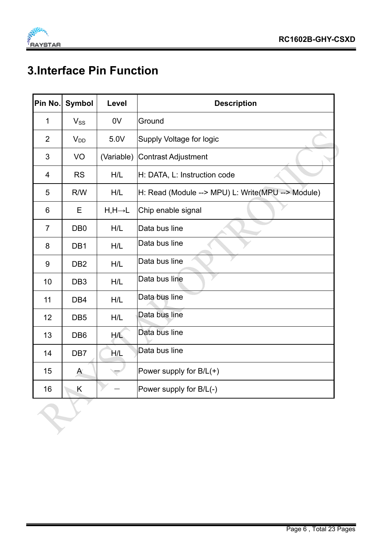

# **3.Interface Pin Function**

| Pin No.                  | <b>Symbol</b>    | Level                | <b>Description</b>                                |
|--------------------------|------------------|----------------------|---------------------------------------------------|
| 1                        | $V_{SS}$         | 0V                   | Ground                                            |
| $\overline{2}$           | $V_{DD}$         | 5.0V                 | Supply Voltage for logic                          |
| 3                        | VO               | (Variable)           | <b>Contrast Adjustment</b>                        |
| $\overline{\mathcal{A}}$ | <b>RS</b>        | H/L                  | H: DATA, L: Instruction code                      |
| 5                        | R/W              | H/L                  | H: Read (Module --> MPU) L: Write(MPU --> Module) |
| 6                        | E                | $H, H \rightarrow L$ | Chip enable signal                                |
| $\overline{7}$           | D <sub>B</sub> 0 | H/L                  | Data bus line                                     |
| 8                        | DB1              | H/L                  | Data bus line                                     |
| 9                        | D <sub>B2</sub>  | H/L                  | Data bus line                                     |
| 10                       | DB <sub>3</sub>  | H/L                  | Data bus line                                     |
| 11                       | DB4              | H/L                  | Data bus line                                     |
| 12                       | DB <sub>5</sub>  | H/L                  | Data bus line                                     |
| 13                       | D <sub>B6</sub>  | H/L                  | Data bus line                                     |
| 14                       | DB7              | H/L                  | Data bus line                                     |
| 15                       | $\mathsf{A}$     |                      | Power supply for $B/L(+)$                         |
| 16                       | Κ                |                      | Power supply for B/L(-)                           |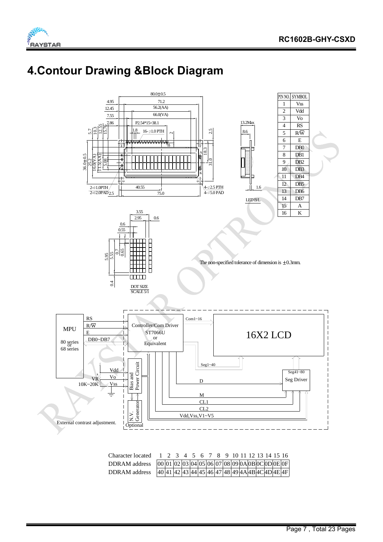### **4.Contour Drawing &Block Diagram**



| Character located 1 2 3 4 5 6 7 8 9 10 11 12 13 14 15 16                                                                                                                  |  |  |  |  |  |  |  |  |
|---------------------------------------------------------------------------------------------------------------------------------------------------------------------------|--|--|--|--|--|--|--|--|
| DDRAM address $[00]01]02[03]04[05]06[07]08[09]0A[0B]0C[0D]0E[0F]$                                                                                                         |  |  |  |  |  |  |  |  |
| DDRAM address $\frac{40}{41} \frac{42}{43} \frac{43}{44} \frac{45}{46} \frac{47}{48} \frac{49}{48} \frac{49}{48} \frac{49}{48} \frac{40}{45} \frac{40}{45} \frac{4F}{4F}$ |  |  |  |  |  |  |  |  |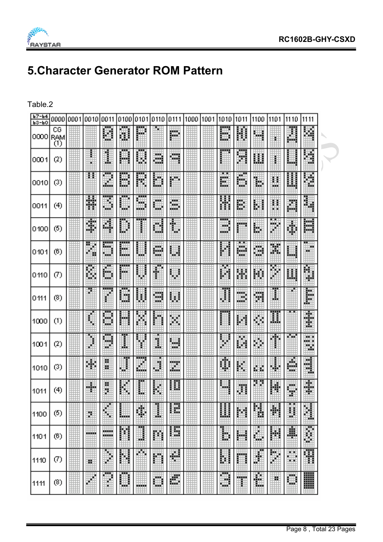

# **5.Character Generator ROM Pattern**

#### Table.2

| $b7 - b4$<br>$b3-10$ | 0000 0001         | 10010 | 0011                          |                        | 0100 0101 0110 |        | 0111    | 1000 | 1001 | 1010         | 1011    | 1100   | 1101 | 1110     | 1111               |  |
|----------------------|-------------------|-------|-------------------------------|------------------------|----------------|--------|---------|------|------|--------------|---------|--------|------|----------|--------------------|--|
| 0000 RAM<br>(1)      | CG                |       | H                             | U                      | P              |        | 膷       |      |      | 爴            | 鬮       | щ      |      | Ā        | ш                  |  |
| 0001                 | (2)               |       | 1                             | 鼺                      | 闄              | W.     | m       |      |      |              | <br>Ħ   | 賱      | I.   | ▦        | ij                 |  |
| 0010                 | (3)               | 21    | 飁                             | ₩                      | <br>P          | H      | 睜       |      |      | E,           | H       | 躙      | U,   | 瞤        | ğ,                 |  |
| 0011                 | (4)               | Ħ     | ÿ.<br>₩                       | w                      | <br>w.<br>ш    | ₩      | W       |      |      | 朤            | 鷴       | I<br>H | H    | 闗        | H                  |  |
| 0100                 | (5)               | H     | Ħ                             | ▦                      | <br>ŧ          | Ш      | H       |      |      | <br>Wю<br>ш. | ▦       | E      | ₩    | 鼺        | 闗                  |  |
| 0101                 | (6)               | Ħ     | 踙<br>ш.                       | <b>HELL</b><br>脚<br>Ьw | ▦              | ₩      | ₩       |      |      | ä,           | ╌<br>H. | 臘      | Ħ    | 凲        | ⊞<br>ж<br>ш.       |  |
| 0110                 | $\left( 7\right)$ | f.    | b                             | <b>TILL</b><br>藤       | 壨              | ŧ      | ▦       |      |      | Ħ            | 闍       | 闄      | M    | 臘        | ш<br>W.            |  |
| 0111                 | (8)               | Ø.    | ı                             | M                      | H              | 9      | 闢       |      |      | I            | D.      | Ħ      | I    | r.       | I                  |  |
| 1000                 | (1)               |       | ₩                             | H                      | H              | ŀ<br>Ë | Ħ       |      |      |              | 鬬       | ▦      | Ħ    |          | ŧ                  |  |
| 1001                 | (2)               | ₽     | ш<br>♦                        | H                      | W              | U      | ш<br>m. |      |      | ÿ.           | 繭       | 膷      | H    | n v      | m a<br>an in<br>×. |  |
| 1010                 | (3)               | 翢     | ĕ                             | $\color{red}\phi$      | m,<br>▦        | ▦      | E       |      |      | ¢            | H       | 膷      | U,   | 爴<br>蹶   | B                  |  |
| 1011                 | (4)               | 躣     | ij                            | H.                     | ш.             | H      | 圕       |      |      | ш            | H       | n y    | Ħ    | F        | Ŧ                  |  |
| 1100                 | (5)               | y.    | #                             | 鼺                      | 躝              | I      | 翢       |      |      | ▦            | ш       | 1      | H    | Ħ        | H                  |  |
| 1101                 | (6)               |       | <b>HOOKE</b><br><b>MARKET</b> | Ħ                      | I              | 臘      | 酾       |      |      | 1            | 鼺       | 膷      | 鬬    | ∎        | I                  |  |
| 1110                 | Ø)                | ш     | I                             | 膷                      | m              | ₩      | Ħ       |      |      | l<br>Ř.      | m       | 肅      | H    | MM.<br>₩ | 閳                  |  |
| 1111                 | (8)               |       | ∦                             | 8                      | --             | ▦      | 膷       |      |      | Ħ<br>m.      | m<br>P  | 臘      | ×    | ₩        | ▒                  |  |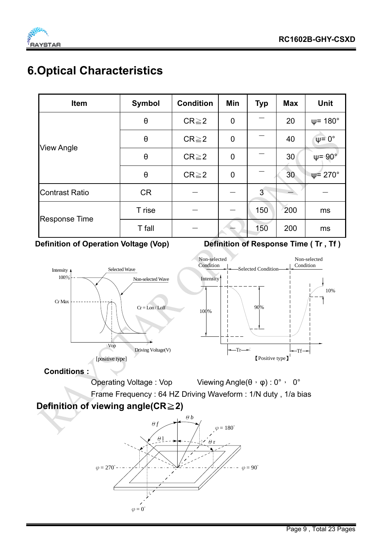

### **6.Optical Characteristics**

| <b>Item</b>           | <b>Symbol</b>         | <b>Condition</b> | Min         | <b>Typ</b> | Max | <b>Unit</b>             |
|-----------------------|-----------------------|------------------|-------------|------------|-----|-------------------------|
|                       | $\boldsymbol{\theta}$ | $CR \geq 2$      | $\mathbf 0$ |            | 20  | $\psi$ = 180 $^{\circ}$ |
|                       | $\theta$              | $CR \geq 2$      | $\mathbf 0$ |            | 40  | $\psi = 0^{\circ}$      |
| <b>View Angle</b>     | $\boldsymbol{\theta}$ | $CR \geq 2$      | $\mathbf 0$ |            | 30  | $\psi = 90^{\circ}$     |
|                       | $\theta$              | $CR \geq 2$      | $\mathbf 0$ |            | 30  | $\Psi$ = 270 $^{\circ}$ |
| <b>Contrast Ratio</b> | <b>CR</b>             |                  |             | 3          |     |                         |
|                       | T rise                |                  |             | 150        | 200 | ms                      |
| <b>Response Time</b>  | T fall                |                  |             | 150        | 200 | ms                      |

**Definition of Operation Voltage (Vop)** Definition of Response Time (Tr, Tf)



Operating Voltage : Vop Viewing Angle(θ, φ) : 0°, 0°

Frame Frequency : 64 HZ Driving Waveform : 1/N duty , 1/a bias

#### **Definition of viewing angle(CR≥2)**

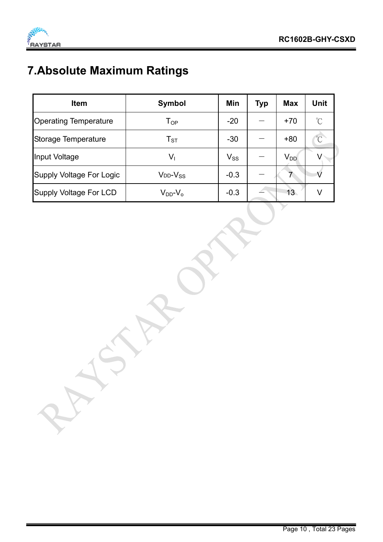

# **7.Absolute Maximum Ratings**

| <b>Item</b>                     | <b>Symbol</b>       | Min      | <b>Typ</b> | <b>Max</b> | <b>Unit</b>          |
|---------------------------------|---------------------|----------|------------|------------|----------------------|
| <b>Operating Temperature</b>    | $T_{OP}$            | $-20$    |            | $+70$      | $\mathrm{C}^{\circ}$ |
| Storage Temperature             | $T_{ST}$            | $-30$    |            | $+80$      | $\overline{C}$       |
| Input Voltage                   | $V_{\rm I}$         | $V_{SS}$ |            | $V_{DD}$   |                      |
| <b>Supply Voltage For Logic</b> | $V_{DD}$ - $V_{SS}$ | $-0.3$   |            |            |                      |
| <b>Supply Voltage For LCD</b>   | $V_{DD}$ - $V_{O}$  | $-0.3$   |            | 13         | V                    |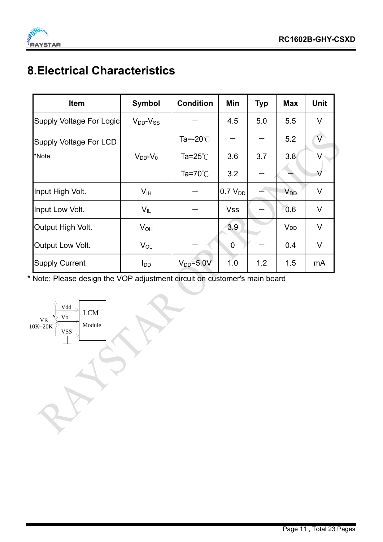

# **8.Electrical Characteristics**

| <b>Item</b>              | Symbol              | <b>Condition</b>   | Min                 | <b>Typ</b> | <b>Max</b>            | <b>Unit</b>             |
|--------------------------|---------------------|--------------------|---------------------|------------|-----------------------|-------------------------|
| Supply Voltage For Logic | $V_{DD}$ - $V_{SS}$ |                    | 4.5                 | 5.0        | 5.5                   | V                       |
| Supply Voltage For LCD   |                     | Ta=-20 $\degree$ C |                     |            | 5.2                   | $\overline{\mathsf{V}}$ |
| *Note                    | $V_{DD}$ - $V_0$    | Ta=25 $^{\circ}$ C | 3.6                 | 3.7        | 3.8                   |                         |
|                          |                     | Ta=70 $^{\circ}$ C | 3.2                 |            |                       | $\vee$                  |
| Input High Volt.         | V <sub>IH</sub>     |                    | 0.7 V <sub>DD</sub> |            | <b>V<sub>DD</sub></b> | V                       |
| Input Low Volt.          | $V_{IL}$            |                    | <b>Vss</b>          |            | 0.6                   | $\vee$                  |
| Output High Volt.        | $V_{OH}$            |                    | 3.9                 |            | <b>V<sub>DD</sub></b> | $\vee$                  |
| Output Low Volt.         | $V_{OL}$            |                    | $\mathbf 0$         |            | 0.4                   | V                       |
| <b>Supply Current</b>    | $I_{DD}$            | $V_{DD} = 5.0 V$   | 1.0                 | 1.2        | 1.5                   | mA                      |

\* Note: Please design the VOP adjustment circuit on customer's main board

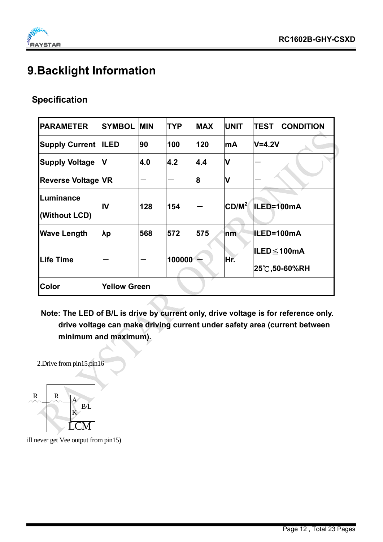### **9.Backlight Information**

#### **Specification**

| <b>PARAMETER</b>          | <b>SYMBOL</b>       | <b>MIN</b> | <b>TYP</b> | <b>MAX</b> | <b>UNIT</b>       | <b>CONDITION</b><br>TEST |
|---------------------------|---------------------|------------|------------|------------|-------------------|--------------------------|
| <b>Supply Current</b>     | <b>ILED</b>         | 90         | 100        | 120        | lmA               | lV=4.2V                  |
| <b>Supply Voltage</b>     | IV                  | 4.0        | 4.2        | 4.4        | V                 |                          |
| <b>Reverse Voltage VR</b> |                     |            |            | 8          | V                 |                          |
| Luminance                 | IV                  | 128        | 154        |            | CD/M <sup>2</sup> | ILED=100mA               |
| (Without LCD)             |                     |            |            |            |                   |                          |
| <b>Wave Length</b>        | λp                  | 568        | 572        | 575        | n <b>m</b>        | IILED=100mA              |
| <b>Life Time</b>          |                     |            | 100000     |            | Hr.               | ILED≤100mA               |
|                           |                     |            |            |            |                   | 25℃,50-60%RH             |
| <b>Color</b>              | <b>Yellow Green</b> |            |            |            |                   |                          |

**Note: The LED of B/L is drive by current only, drive voltage is for reference only. drive voltage can make driving current under safety area (current between minimum and maximum).** 

2.Drive from pin15,pin16



ill never get Vee output from pin15)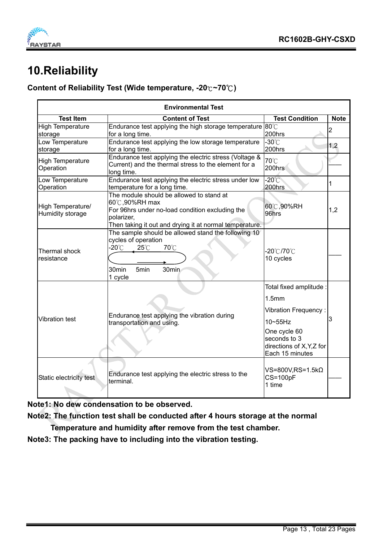

### **10.Reliability**

#### **Content of Reliability Test (Wide temperature, -20**℃**~70 )** ℃

|                                       | <b>Environmental Test</b>                                                                                                                                                              |                                                                                                                                                                 |             |
|---------------------------------------|----------------------------------------------------------------------------------------------------------------------------------------------------------------------------------------|-----------------------------------------------------------------------------------------------------------------------------------------------------------------|-------------|
| <b>Test Item</b>                      | <b>Content of Test</b>                                                                                                                                                                 | <b>Test Condition</b>                                                                                                                                           | <b>Note</b> |
| <b>High Temperature</b><br>storage    | Endurance test applying the high storage temperature 80°C<br>for a long time.                                                                                                          | 200hrs                                                                                                                                                          | 2           |
| Low Temperature<br>storage            | Endurance test applying the low storage temperature<br>for a long time.                                                                                                                | $-30^{\circ}$ C<br>200hrs                                                                                                                                       | 1,2         |
| <b>High Temperature</b><br>Operation  | Endurance test applying the electric stress (Voltage &<br>Current) and the thermal stress to the element for a<br>long time.                                                           | 70°C<br>200hrs                                                                                                                                                  |             |
| Low Temperature<br>Operation          | Endurance test applying the electric stress under low<br>temperature for a long time.                                                                                                  | $-20^{\circ}$ C<br>200hrs                                                                                                                                       | 1           |
| High Temperature/<br>Humidity storage | The module should be allowed to stand at<br>60°C,90%RH max<br>For 96hrs under no-load condition excluding the<br>polarizer,<br>Then taking it out and drying it at normal temperature. | 60℃,90%RH<br>96hrs                                                                                                                                              | 1,2         |
| Thermal shock<br>resistance           | The sample should be allowed stand the following 10<br>cycles of operation<br>-20°C<br>70°C<br>$25^{\circ}$ C<br>30 <sub>min</sub><br>30min<br>5 <sub>min</sub><br>1 cycle             | -20℃/70℃<br>10 cycles                                                                                                                                           |             |
| Vibration test                        | Endurance test applying the vibration during<br>transportation and using.                                                                                                              | Total fixed amplitude :<br>1.5 <sub>mm</sub><br>Vibration Frequency:<br>10~55Hz<br>One cycle 60<br>seconds to 3<br>directions of X, Y, Z for<br>Each 15 minutes | 3           |
| Static electricity test               | Endurance test applying the electric stress to the<br>terminal.                                                                                                                        | VS=800V,RS=1.5kΩ<br>$CS=100pF$<br>1 time                                                                                                                        |             |

**Note1: No dew condensation to be observed.** 

**Note2: The function test shall be conducted after 4 hours storage at the normal** 

 **Temperature and humidity after remove from the test chamber.** 

**Note3: The packing have to including into the vibration testing.**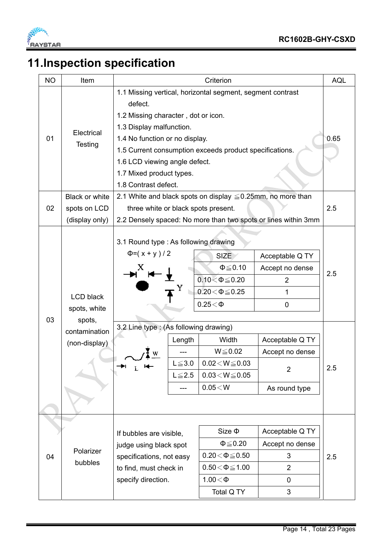

# **11.Inspection specification**

| <b>NO</b> | Item                                                                         | Criterion                                                                                                                                                                                                                                                                                                                  |                                             |                                                                                                                                                                                                       |                                                                                                                            | <b>AQL</b> |
|-----------|------------------------------------------------------------------------------|----------------------------------------------------------------------------------------------------------------------------------------------------------------------------------------------------------------------------------------------------------------------------------------------------------------------------|---------------------------------------------|-------------------------------------------------------------------------------------------------------------------------------------------------------------------------------------------------------|----------------------------------------------------------------------------------------------------------------------------|------------|
| 01        | Electrical<br>Testing                                                        | 1.1 Missing vertical, horizontal segment, segment contrast<br>defect.<br>1.2 Missing character, dot or icon.<br>1.3 Display malfunction.<br>1.4 No function or no display.<br>1.5 Current consumption exceeds product specifications.<br>1.6 LCD viewing angle defect.<br>1.7 Mixed product types.<br>1.8 Contrast defect. |                                             |                                                                                                                                                                                                       |                                                                                                                            | 0.65       |
|           | Black or white                                                               | 2.1 White and black spots on display $\leq 0.25$ mm, no more than                                                                                                                                                                                                                                                          |                                             |                                                                                                                                                                                                       |                                                                                                                            |            |
| 02        | spots on LCD<br>(display only)                                               | three white or black spots present.                                                                                                                                                                                                                                                                                        |                                             |                                                                                                                                                                                                       | 2.2 Densely spaced: No more than two spots or lines within 3mm                                                             | 2.5        |
| 03        | <b>LCD black</b><br>spots, white<br>spots,<br>contamination<br>(non-display) | 3.1 Round type : As following drawing<br>$\Phi = (x + y)/2$<br>3.2 Line type : (As following drawing)<br>w<br>Ŧ.                                                                                                                                                                                                           | Length<br>$L \le 3.0$<br>$L \le 2.5$<br>--- | <b>SIZE</b><br>$\Phi \leq 0.10$<br>$0.10 < \Phi \le 0.20$<br>$0.20 \le \Phi \le 0.25$<br>$0.25<\Phi$<br>Width<br>$W \le 0.02$<br>$0.02\!<\!W\!\leq\!0.03$<br>$0.03\!<\!W\!\leq\!0.05$<br>$0.05\!<\!W$ | Acceptable Q TY<br>Accept no dense<br>2<br>1<br>0<br>Acceptable Q TY<br>Accept no dense<br>$\overline{2}$<br>As round type | 2.5<br>2.5 |
| 04        | Polarizer<br>bubbles                                                         | If bubbles are visible,<br>judge using black spot<br>specifications, not easy<br>to find, must check in<br>specify direction.                                                                                                                                                                                              |                                             | Size $\Phi$<br>$\Phi \leq 0.20$<br>$0.20\!<\!\Phi\!\leq\!0.50$<br>$0.50\!<\!\Phi\!\leq\!1.00$<br>$1.00<\Phi$<br>Total Q TY                                                                            | Acceptable Q TY<br>Accept no dense<br>3<br>$\overline{2}$<br>0<br>3                                                        | 2.5        |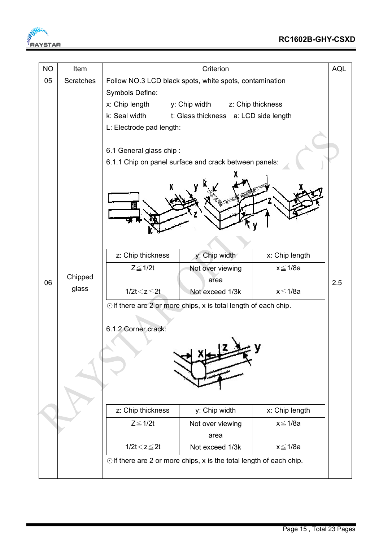

| <b>NO</b> | Item             | <b>AQL</b><br>Criterion                                 |                                                                           |                |     |
|-----------|------------------|---------------------------------------------------------|---------------------------------------------------------------------------|----------------|-----|
| 05        | <b>Scratches</b> | Follow NO.3 LCD black spots, white spots, contamination |                                                                           |                |     |
|           |                  | Symbols Define:                                         |                                                                           |                |     |
|           |                  | x: Chip length                                          | y: Chip width z: Chip thickness                                           |                |     |
|           |                  | k: Seal width                                           | t: Glass thickness a: LCD side length                                     |                |     |
|           |                  | L: Electrode pad length:                                |                                                                           |                |     |
|           |                  |                                                         |                                                                           |                |     |
|           |                  | 6.1 General glass chip:                                 |                                                                           |                |     |
|           |                  |                                                         | 6.1.1 Chip on panel surface and crack between panels:                     |                |     |
|           |                  |                                                         |                                                                           |                |     |
|           |                  | z: Chip thickness                                       | y: Chip width                                                             | x: Chip length |     |
|           |                  | $Z \leq 1/2t$                                           | Not over viewing                                                          | x≦1/8a         |     |
| 06        | Chipped          |                                                         | area                                                                      |                | 2.5 |
|           | glass            | $1/2t < z \leq 2t$                                      | Not exceed 1/3k                                                           | x≦1/8a         |     |
|           |                  |                                                         | $\odot$ If there are 2 or more chips, x is total length of each chip.     |                |     |
|           |                  |                                                         |                                                                           |                |     |
|           |                  | 6.1.2 Corner crack:                                     |                                                                           |                |     |
|           |                  |                                                         |                                                                           |                |     |
|           |                  |                                                         |                                                                           |                |     |
|           |                  |                                                         |                                                                           |                |     |
|           |                  |                                                         |                                                                           |                |     |
|           |                  |                                                         |                                                                           |                |     |
|           |                  |                                                         |                                                                           |                |     |
|           |                  | z: Chip thickness                                       | y: Chip width                                                             | x: Chip length |     |
|           |                  | $Z \leq 1/2t$                                           | Not over viewing                                                          | $x \leq 1/8a$  |     |
|           |                  |                                                         | area                                                                      |                |     |
|           |                  | $1/2t < z \leq 2t$                                      | Not exceed 1/3k                                                           | x≦1/8a         |     |
|           |                  |                                                         | $\odot$ If there are 2 or more chips, x is the total length of each chip. |                |     |
|           |                  |                                                         |                                                                           |                |     |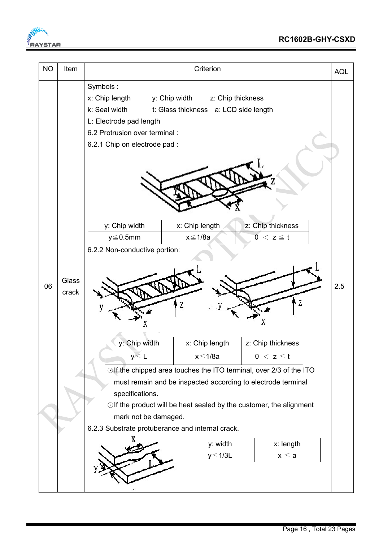

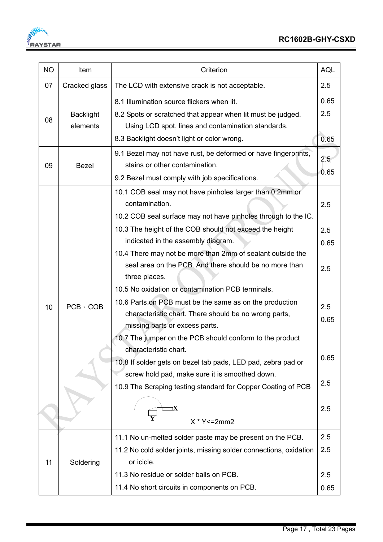**FALL** 

| <b>NO</b> | Item                         | Criterion                                                                                                                                                                                                                             |             |  |
|-----------|------------------------------|---------------------------------------------------------------------------------------------------------------------------------------------------------------------------------------------------------------------------------------|-------------|--|
| 07        | Cracked glass                | The LCD with extensive crack is not acceptable.                                                                                                                                                                                       |             |  |
| 08        | <b>Backlight</b><br>elements | 0.65<br>8.1 Illumination source flickers when lit.<br>2.5<br>8.2 Spots or scratched that appear when lit must be judged.<br>Using LCD spot, lines and contamination standards.<br>8.3 Backlight doesn't light or color wrong.<br>0.65 |             |  |
| 09        | <b>Bezel</b>                 | 9.1 Bezel may not have rust, be deformed or have fingerprints,<br>2.5<br>stains or other contamination.<br>0.65<br>9.2 Bezel must comply with job specifications.                                                                     |             |  |
|           |                              | 10.1 COB seal may not have pinholes larger than 0.2mm or<br>contamination.<br>10.2 COB seal surface may not have pinholes through to the IC.                                                                                          | 2.5         |  |
|           |                              | 10.3 The height of the COB should not exceed the height<br>indicated in the assembly diagram.                                                                                                                                         | 2.5         |  |
|           |                              | 10.4 There may not be more than 2mm of sealant outside the                                                                                                                                                                            | 0.65        |  |
|           |                              | seal area on the PCB. And there should be no more than<br>three places.                                                                                                                                                               | 2.5         |  |
|           |                              | 10.5 No oxidation or contamination PCB terminals.                                                                                                                                                                                     |             |  |
| 10        | $PCB \cdot COB$              | 10.6 Parts on PCB must be the same as on the production<br>characteristic chart. There should be no wrong parts,<br>missing parts or excess parts.                                                                                    | 2.5<br>0.65 |  |
|           |                              | 10.7 The jumper on the PCB should conform to the product                                                                                                                                                                              |             |  |
|           |                              | characteristic chart.<br>10.8 If solder gets on bezel tab pads, LED pad, zebra pad or                                                                                                                                                 | 0.65        |  |
|           |                              | screw hold pad, make sure it is smoothed down.<br>10.9 The Scraping testing standard for Copper Coating of PCB                                                                                                                        | 2.5         |  |
|           |                              | $X * Y \le 2mm2$                                                                                                                                                                                                                      | 2.5         |  |
|           |                              | 11.1 No un-melted solder paste may be present on the PCB.                                                                                                                                                                             | 2.5         |  |
|           |                              | 11.2 No cold solder joints, missing solder connections, oxidation                                                                                                                                                                     | 2.5         |  |
| 11        | Soldering                    | or icicle.                                                                                                                                                                                                                            |             |  |
|           |                              | 11.3 No residue or solder balls on PCB.                                                                                                                                                                                               | 2.5         |  |
|           |                              | 11.4 No short circuits in components on PCB.                                                                                                                                                                                          | 0.65        |  |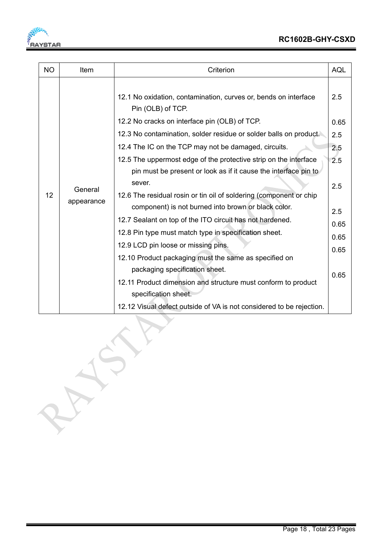

| <b>NO</b> | Item                  | Criterion                                                                            | <b>AQL</b> |
|-----------|-----------------------|--------------------------------------------------------------------------------------|------------|
|           |                       | 12.1 No oxidation, contamination, curves or, bends on interface<br>Pin (OLB) of TCP. | 2.5        |
|           |                       | 12.2 No cracks on interface pin (OLB) of TCP.                                        | 0.65       |
|           |                       | 12.3 No contamination, solder residue or solder balls on product.                    | 2.5        |
|           |                       | 12.4 The IC on the TCP may not be damaged, circuits.                                 | 2.5        |
|           |                       | 12.5 The uppermost edge of the protective strip on the interface                     | 2.5        |
|           | General<br>appearance | pin must be present or look as if it cause the interface pin to                      |            |
|           |                       | sever.                                                                               | 2.5        |
| 12        |                       | 12.6 The residual rosin or tin oil of soldering (component or chip                   |            |
|           |                       | component) is not burned into brown or black color.                                  | 2.5        |
|           |                       | 12.7 Sealant on top of the ITO circuit has not hardened.                             | 0.65       |
|           |                       | 12.8 Pin type must match type in specification sheet.                                | 0.65       |
|           |                       | 12.9 LCD pin loose or missing pins.                                                  | 0.65       |
|           |                       | 12.10 Product packaging must the same as specified on                                |            |
|           |                       | packaging specification sheet.                                                       | 0.65       |
|           |                       | 12.11 Product dimension and structure must conform to product                        |            |
|           |                       | specification sheet.                                                                 |            |
|           |                       | 12.12 Visual defect outside of VA is not considered to be rejection.                 |            |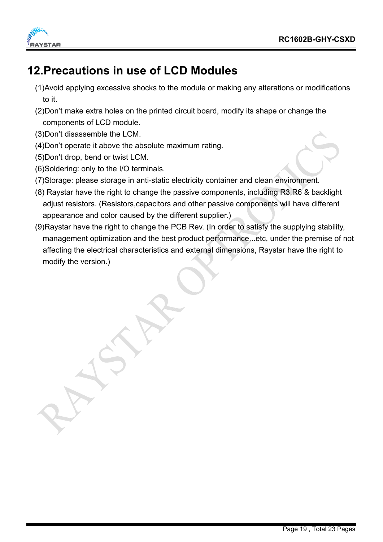

### **12.Precautions in use of LCD Modules**

- (1)Avoid applying excessive shocks to the module or making any alterations or modifications to it.
- (2)Don't make extra holes on the printed circuit board, modify its shape or change the components of LCD module.
- (3)Don't disassemble the LCM.
- (4)Don't operate it above the absolute maximum rating.
- (5)Don't drop, bend or twist LCM.
- (6)Soldering: only to the I/O terminals.
- (7)Storage: please storage in anti-static electricity container and clean environment.
- (8) Raystar have the right to change the passive components, including R3,R6 & backlight adjust resistors. (Resistors,capacitors and other passive components will have different appearance and color caused by the different supplier.)
- (9)Raystar have the right to change the PCB Rev. (In order to satisfy the supplying stability, management optimization and the best product performance...etc, under the premise of not affecting the electrical characteristics and external dimensions, Raystar have the right to modify the version.)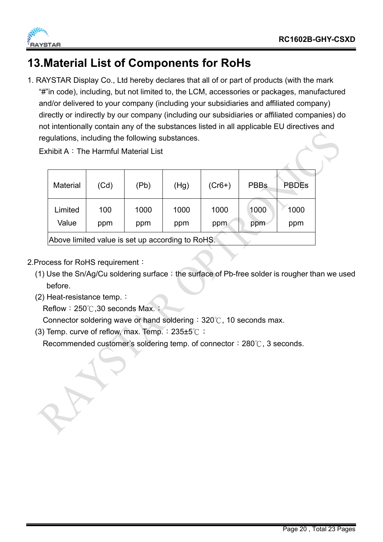



### **13.Material List of Components for RoHs**

1. RAYSTAR Display Co., Ltd hereby declares that all of or part of products (with the mark "#"in code), including, but not limited to, the LCM, accessories or packages, manufactured and/or delivered to your company (including your subsidiaries and affiliated company) directly or indirectly by our company (including our subsidiaries or affiliated companies) do not intentionally contain any of the substances listed in all applicable EU directives and regulations, including the following substances.

Exhibit A: The Harmful Material List

| <b>Material</b>                                  | (Cd)       | (Pb)        | (Hg)        | $(Cr6+)$    | <b>PBBs</b> | <b>PBDEs</b> |  |
|--------------------------------------------------|------------|-------------|-------------|-------------|-------------|--------------|--|
| Limited<br>Value                                 | 100<br>ppm | 1000<br>ppm | 1000<br>ppm | 1000<br>ppm | 1000<br>ppm | 1000<br>ppm  |  |
| Above limited value is set up according to RoHS. |            |             |             |             |             |              |  |

- 2.Process for RoHS requirement:
	- (1) Use the Sn/Ag/Cu soldering surface; the surface of Pb-free solder is rougher than we used before.
	- (2) Heat-resistance temp.:

Reflow:  $250^{\circ}$ . 30 seconds Max.  $\ddot{\cdot}$ 

Connector soldering wave or hand soldering:  $320^{\circ}$ , 10 seconds max.

(3) Temp. curve of reflow, max. Temp.:235±5℃;

Recommended customer's soldering temp. of connector:  $280^\circ$ C, 3 seconds.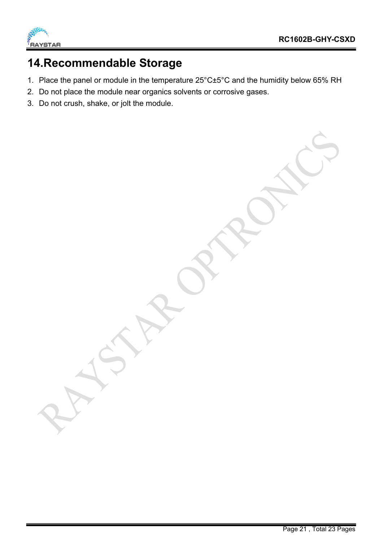

### **14.Recommendable Storage**

- 1. Place the panel or module in the temperature 25°C±5°C and the humidity below 65% RH
- 2. Do not place the module near organics solvents or corrosive gases.
- 3. Do not crush, shake, or jolt the module.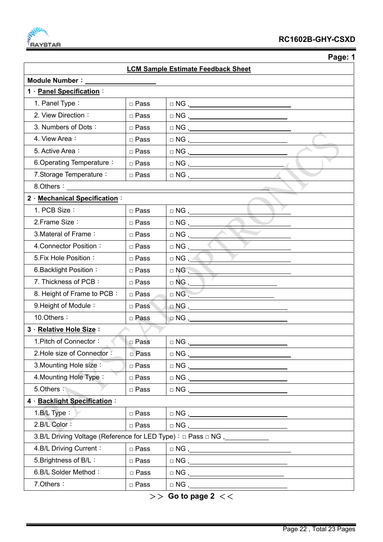

 **Page: 1** 

| <b>LCM Sample Estimate Feedback Sheet</b>                                       |             |                                                                                                    |  |  |  |  |
|---------------------------------------------------------------------------------|-------------|----------------------------------------------------------------------------------------------------|--|--|--|--|
| Module Number:                                                                  |             |                                                                                                    |  |  |  |  |
| 1 · Panel Specification:                                                        |             |                                                                                                    |  |  |  |  |
| 1. Panel Type:                                                                  | □ Pass      |                                                                                                    |  |  |  |  |
| 2. View Direction:                                                              | □ Pass      | $\begin{tabular}{c} $\square$ NG \end{tabular},$                                                   |  |  |  |  |
| 3. Numbers of Dots:                                                             | □ Pass      | $\begin{tabular}{c} $\fbox{$\sim$} \cr \Box \hspace{2.0pt} \text{NG} \hspace{2.2pt} \end{tabular}$ |  |  |  |  |
| 4. View Area:                                                                   | □ Pass      | $\begin{tabular}{c} $\square$ NG \end{tabular},$                                                   |  |  |  |  |
| 5. Active Area:                                                                 | □ Pass      |                                                                                                    |  |  |  |  |
| 6. Operating Temperature:                                                       | □ Pass      | $\begin{tabular}{c} $\vartriangle$ NG \end{tabular},$                                              |  |  |  |  |
| 7. Storage Temperature:                                                         | □ Pass      |                                                                                                    |  |  |  |  |
|                                                                                 |             |                                                                                                    |  |  |  |  |
| 2 Mechanical Specification:                                                     |             |                                                                                                    |  |  |  |  |
| 1. PCB Size:                                                                    | □ Pass      | □ NG <u>,_______</u>                                                                               |  |  |  |  |
| 2. Frame Size:                                                                  | □ Pass      |                                                                                                    |  |  |  |  |
| 3. Materal of Frame:                                                            | □ Pass      |                                                                                                    |  |  |  |  |
| 4. Connector Position:                                                          | □ Pass      | $\Box$ NG , _____                                                                                  |  |  |  |  |
| 5. Fix Hole Position:                                                           | □ Pass      | $\Box$ NG , $\triangle$                                                                            |  |  |  |  |
| 6. Backlight Position:                                                          | □ Pass      | $\Box$ NG,                                                                                         |  |  |  |  |
| 7. Thickness of PCB:                                                            | □ Pass      |                                                                                                    |  |  |  |  |
| 8. Height of Frame to PCB:                                                      | □ Pass      | $\Box$ NG $\Box$                                                                                   |  |  |  |  |
| 9. Height of Module:                                                            | □ Pass      |                                                                                                    |  |  |  |  |
| 10.Others:                                                                      | □ Pass      | $\Box$ NG , $\_\_$                                                                                 |  |  |  |  |
| 3 · Relative Hole Size:                                                         |             |                                                                                                    |  |  |  |  |
| 1. Pitch of Connector:                                                          | □ Pass      |                                                                                                    |  |  |  |  |
| 2. Hole size of Connector:                                                      | □ Pass      |                                                                                                    |  |  |  |  |
| 3. Mounting Hole size:                                                          | □ Pass      | $\Box NG \text{ } \underline{\qquad \qquad }$                                                      |  |  |  |  |
| 4. Mounting Hole Type:                                                          | □ Pass      |                                                                                                    |  |  |  |  |
| 5.Others:                                                                       | $\Box$ Pass | $\begin{tabular}{ll} $\square$ NG \, , \, \, & \, \, & \, \, & \, \, \\ \end{tabular}$             |  |  |  |  |
| 4 · Backlight Specification :                                                   |             |                                                                                                    |  |  |  |  |
| $1.B/L$ Type:                                                                   | □ Pass      |                                                                                                    |  |  |  |  |
| 2.B/L Color:                                                                    | □ Pass      |                                                                                                    |  |  |  |  |
| 3.B/L Driving Voltage (Reference for LED Type) : □ Pass □ NG,__________________ |             |                                                                                                    |  |  |  |  |
| 4.B/L Driving Current:                                                          | □ Pass      |                                                                                                    |  |  |  |  |
| 5. Brightness of B/L:                                                           | □ Pass      |                                                                                                    |  |  |  |  |
| 6.B/L Solder Method:                                                            | $\Box$ Pass |                                                                                                    |  |  |  |  |
| 7. Others:                                                                      | □ Pass      |                                                                                                    |  |  |  |  |

>> **Go to page 2** <<